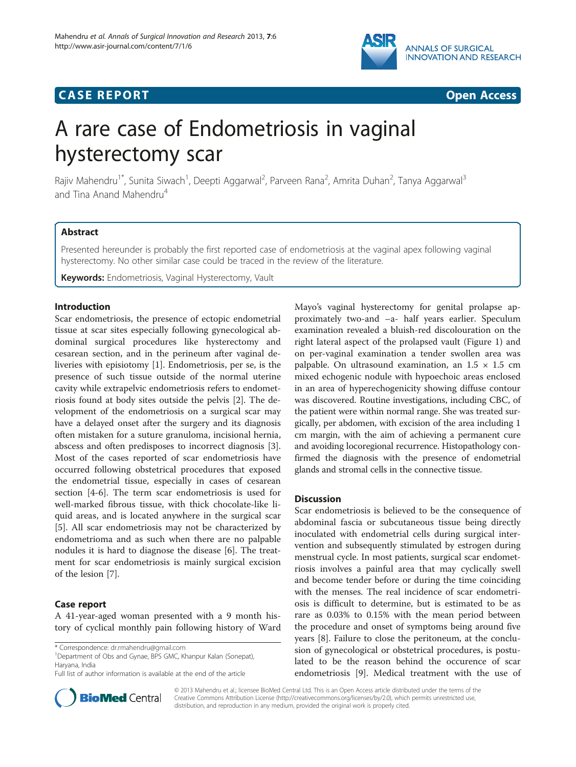

# **CASE REPORT CASE REPORT CASE ACCESS**



# A rare case of Endometriosis in vaginal hysterectomy scar

Rajiv Mahendru<sup>1\*</sup>, Sunita Siwach<sup>1</sup>, Deepti Aggarwal<sup>2</sup>, Parveen Rana<sup>2</sup>, Amrita Duhan<sup>2</sup>, Tanya Aggarwal<sup>3</sup> and Tina Anand Mahendru<sup>4</sup>

# Abstract

Presented hereunder is probably the first reported case of endometriosis at the vaginal apex following vaginal hysterectomy. No other similar case could be traced in the review of the literature.

**Keywords:** Endometriosis, Vaginal Hysterectomy, Vault

# Introduction

Scar endometriosis, the presence of ectopic endometrial tissue at scar sites especially following gynecological abdominal surgical procedures like hysterectomy and cesarean section, and in the perineum after vaginal deliveries with episiotomy [\[1](#page-1-0)]. Endometriosis, per se, is the presence of such tissue outside of the normal uterine cavity while extrapelvic endometriosis refers to endometriosis found at body sites outside the pelvis [[2\]](#page-1-0). The development of the endometriosis on a surgical scar may have a delayed onset after the surgery and its diagnosis often mistaken for a suture granuloma, incisional hernia, abscess and often predisposes to incorrect diagnosis [\[3](#page-1-0)]. Most of the cases reported of scar endometriosis have occurred following obstetrical procedures that exposed the endometrial tissue, especially in cases of cesarean section [\[4](#page-1-0)-[6\]](#page-1-0). The term scar endometriosis is used for well-marked fibrous tissue, with thick chocolate-like liquid areas, and is located anywhere in the surgical scar [[5\]](#page-1-0). All scar endometriosis may not be characterized by endometrioma and as such when there are no palpable nodules it is hard to diagnose the disease [\[6\]](#page-1-0). The treatment for scar endometriosis is mainly surgical excision of the lesion [\[7](#page-1-0)].

# Case report

A 41-year-aged woman presented with a 9 month history of cyclical monthly pain following history of Ward

<sup>1</sup>Department of Obs and Gynae, BPS GMC, Khanpur Kalan (Sonepat), Haryana, India

Full list of author information is available at the end of the article



Mayo's vaginal hysterectomy for genital prolapse approximately two-and –a- half years earlier. Speculum examination revealed a bluish-red discolouration on the right lateral aspect of the prolapsed vault (Figure [1\)](#page-1-0) and on per-vaginal examination a tender swollen area was palpable. On ultrasound examination, an  $1.5 \times 1.5$  cm mixed echogenic nodule with hypoechoic areas enclosed in an area of hyperechogenicity showing diffuse contour was discovered. Routine investigations, including CBC, of the patient were within normal range. She was treated surgically, per abdomen, with excision of the area including 1 cm margin, with the aim of achieving a permanent cure and avoiding locoregional recurrence. Histopathology confirmed the diagnosis with the presence of endometrial glands and stromal cells in the connective tissue.

## **Discussion**

Scar endometriosis is believed to be the consequence of abdominal fascia or subcutaneous tissue being directly inoculated with endometrial cells during surgical intervention and subsequently stimulated by estrogen during menstrual cycle. In most patients, surgical scar endometriosis involves a painful area that may cyclically swell and become tender before or during the time coinciding with the menses. The real incidence of scar endometriosis is difficult to determine, but is estimated to be as rare as 0.03% to 0.15% with the mean period between the procedure and onset of symptoms being around five years [[8\]](#page-1-0). Failure to close the peritoneum, at the conclusion of gynecological or obstetrical procedures, is postulated to be the reason behind the occurence of scar endometriosis [[9\]](#page-1-0). Medical treatment with the use of

© 2013 Mahendru et al.; licensee BioMed Central Ltd. This is an Open Access article distributed under the terms of the Creative Commons Attribution License (<http://creativecommons.org/licenses/by/2.0>), which permits unrestricted use, distribution, and reproduction in any medium, provided the original work is properly cited.

<sup>\*</sup> Correspondence: [dr.rmahendru@gmail.com](mailto:dr.rmahendru@gmail.com) <sup>1</sup>